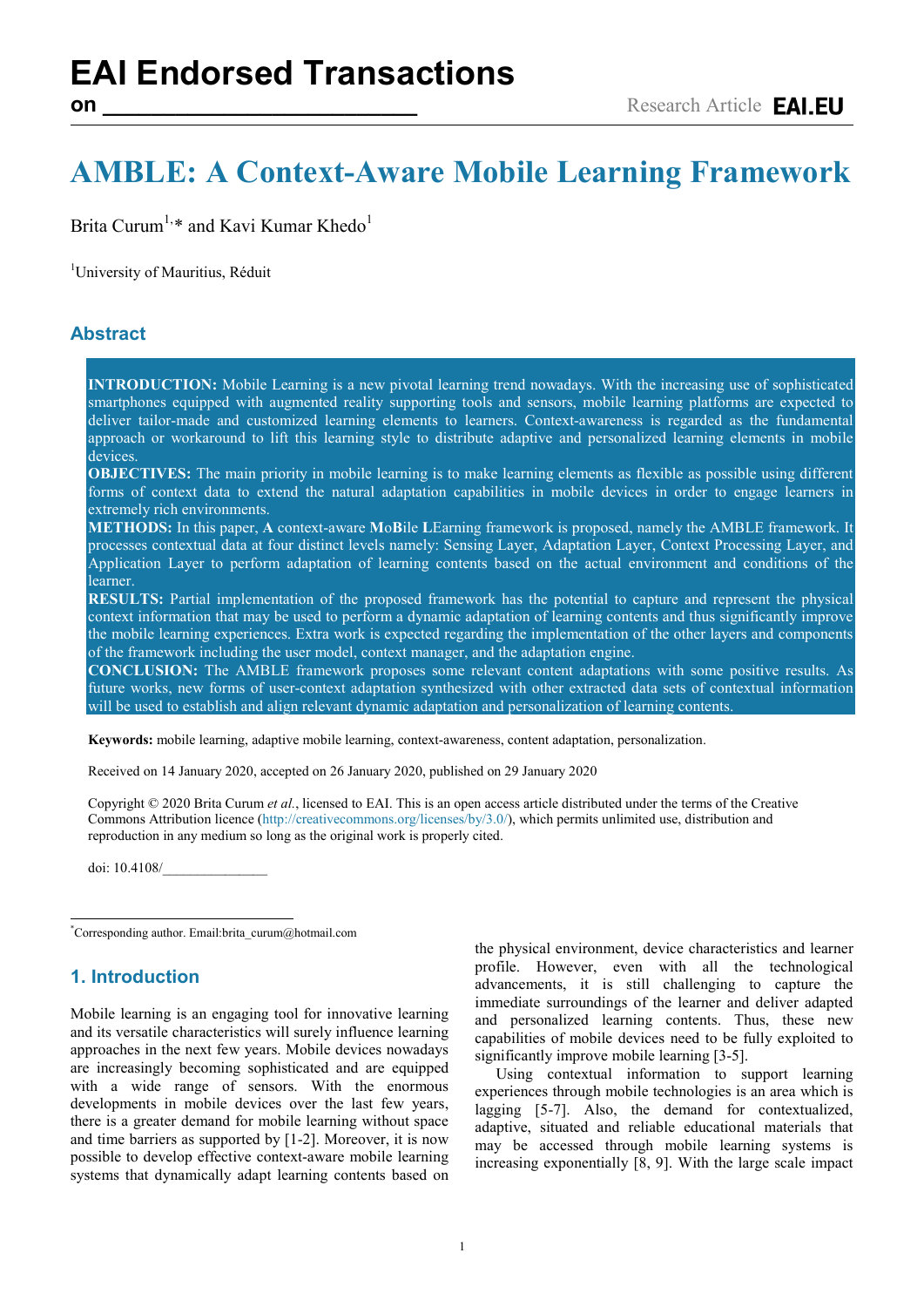# **AMBLE: A Context-Aware Mobile Learning Framework**

Brita Curum<sup>1,[\\*](#page-0-0)</sup> and Kavi Kumar Khedo<sup>1</sup>

<sup>1</sup>University of Mauritius, Réduit

# **Abstract**

**INTRODUCTION:** Mobile Learning is a new pivotal learning trend nowadays. With the increasing use of sophisticated smartphones equipped with augmented reality supporting tools and sensors, mobile learning platforms are expected to deliver tailor-made and customized learning elements to learners. Context-awareness is regarded as the fundamental approach or workaround to lift this learning style to distribute adaptive and personalized learning elements in mobile devices.

**OBJECTIVES:** The main priority in mobile learning is to make learning elements as flexible as possible using different forms of context data to extend the natural adaptation capabilities in mobile devices in order to engage learners in extremely rich environments.

**METHODS:** In this paper, **A** context-aware **M**o**B**ile **L**Earning framework is proposed, namely the AMBLE framework. It processes contextual data at four distinct levels namely: Sensing Layer, Adaptation Layer, Context Processing Layer, and Application Layer to perform adaptation of learning contents based on the actual environment and conditions of the learner.

**RESULTS:** Partial implementation of the proposed framework has the potential to capture and represent the physical context information that may be used to perform a dynamic adaptation of learning contents and thus significantly improve the mobile learning experiences. Extra work is expected regarding the implementation of the other layers and components of the framework including the user model, context manager, and the adaptation engine.

**CONCLUSION:** The AMBLE framework proposes some relevant content adaptations with some positive results. As future works, new forms of user-context adaptation synthesized with other extracted data sets of contextual information will be used to establish and align relevant dynamic adaptation and personalization of learning contents.

**Keywords:** mobile learning, adaptive mobile learning, context-awareness, content adaptation, personalization.

Received on 14 January 2020, accepted on 26 January 2020, published on 29 January 2020

Copyright © 2020 Brita Curum *et al.*, licensed to EAI. This is an open access article distributed under the terms of the Creative Commons Attribution licence [\(http://creativecommons.org/licenses/by/3.0/\)](http://creativecommons.org/licenses/by/3.0/), which permits unlimited use, distribution and reproduction in any medium so long as the original work is properly cited.

doi: 10.4108/\_\_\_\_\_\_\_\_\_\_\_\_\_\_\_

<span id="page-0-0"></span>\* Corresponding author. Email:brita\_curum@hotmail.com

# **1. Introduction**

Mobile learning is an engaging tool for innovative learning and its versatile characteristics will surely influence learning approaches in the next few years. Mobile devices nowadays are increasingly becoming sophisticated and are equipped with a wide range of sensors. With the enormous developments in mobile devices over the last few years, there is a greater demand for mobile learning without space and time barriers as supported by [1-2]. Moreover, it is now possible to develop effective context-aware mobile learning systems that dynamically adapt learning contents based on

the physical environment, device characteristics and learner profile. However, even with all the technological advancements, it is still challenging to capture the immediate surroundings of the learner and deliver adapted and personalized learning contents. Thus, these new capabilities of mobile devices need to be fully exploited to significantly improve mobile learning [3-5].

Using contextual information to support learning experiences through mobile technologies is an area which is lagging [5-7]. Also, the demand for contextualized, adaptive, situated and reliable educational materials that may be accessed through mobile learning systems is increasing exponentially [8, 9]. With the large scale impact

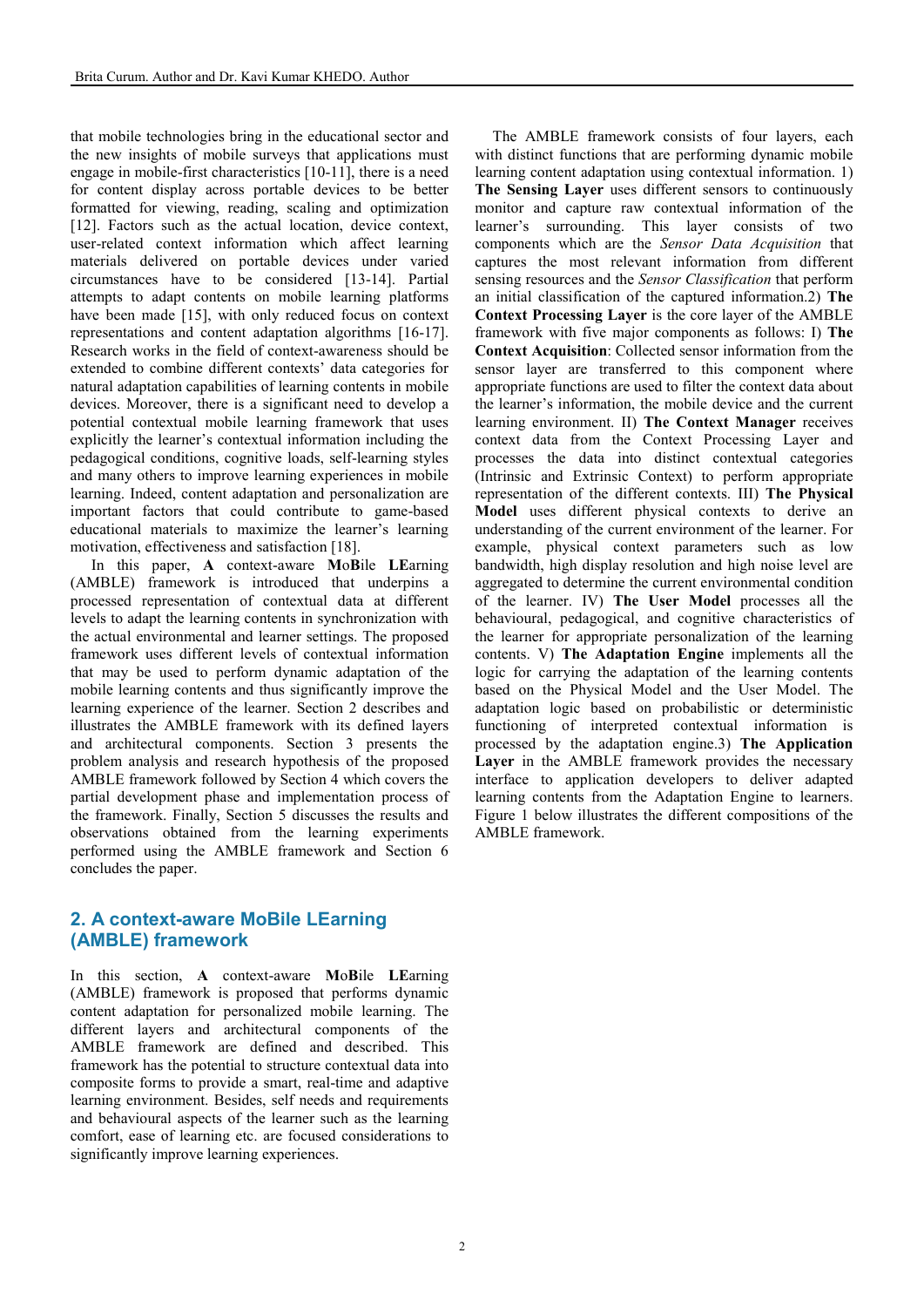that mobile technologies bring in the educational sector and the new insights of mobile surveys that applications must engage in mobile-first characteristics [10-11], there is a need for content display across portable devices to be better formatted for viewing, reading, scaling and optimization [12]. Factors such as the actual location, device context, user-related context information which affect learning materials delivered on portable devices under varied circumstances have to be considered [13-14]. Partial attempts to adapt contents on mobile learning platforms have been made [15], with only reduced focus on context representations and content adaptation algorithms [16-17]. Research works in the field of context-awareness should be extended to combine different contexts' data categories for natural adaptation capabilities of learning contents in mobile devices. Moreover, there is a significant need to develop a potential contextual mobile learning framework that uses explicitly the learner's contextual information including the pedagogical conditions, cognitive loads, self-learning styles and many others to improve learning experiences in mobile learning. Indeed, content adaptation and personalization are important factors that could contribute to game-based educational materials to maximize the learner's learning motivation, effectiveness and satisfaction [18].

In this paper, **A** context-aware **M**o**B**ile **LE**arning (AMBLE) framework is introduced that underpins a processed representation of contextual data at different levels to adapt the learning contents in synchronization with the actual environmental and learner settings. The proposed framework uses different levels of contextual information that may be used to perform dynamic adaptation of the mobile learning contents and thus significantly improve the learning experience of the learner. Section 2 describes and illustrates the AMBLE framework with its defined layers and architectural components. Section 3 presents the problem analysis and research hypothesis of the proposed AMBLE framework followed by Section 4 which covers the partial development phase and implementation process of the framework. Finally, Section 5 discusses the results and observations obtained from the learning experiments performed using the AMBLE framework and Section 6 concludes the paper.

# **2. A context-aware MoBile LEarning (AMBLE) framework**

In this section, **A** context-aware **M**o**B**ile **LE**arning (AMBLE) framework is proposed that performs dynamic content adaptation for personalized mobile learning. The different layers and architectural components of the AMBLE framework are defined and described. This framework has the potential to structure contextual data into composite forms to provide a smart, real-time and adaptive learning environment. Besides, self needs and requirements and behavioural aspects of the learner such as the learning comfort, ease of learning etc. are focused considerations to significantly improve learning experiences.

The AMBLE framework consists of four layers, each with distinct functions that are performing dynamic mobile learning content adaptation using contextual information. 1) **The Sensing Layer** uses different sensors to continuously monitor and capture raw contextual information of the learner's surrounding. This layer consists of two components which are the *Sensor Data Acquisition* that captures the most relevant information from different sensing resources and the *Sensor Classification* that perform an initial classification of the captured information.2) **The Context Processing Layer** is the core layer of the AMBLE framework with five major components as follows: I) **The Context Acquisition**: Collected sensor information from the sensor layer are transferred to this component where appropriate functions are used to filter the context data about the learner's information, the mobile device and the current learning environment. II) **The Context Manager** receives context data from the Context Processing Layer and processes the data into distinct contextual categories (Intrinsic and Extrinsic Context) to perform appropriate representation of the different contexts. III) **The Physical Model** uses different physical contexts to derive an understanding of the current environment of the learner. For example, physical context parameters such as low bandwidth, high display resolution and high noise level are aggregated to determine the current environmental condition of the learner. IV) **The User Model** processes all the behavioural, pedagogical, and cognitive characteristics of the learner for appropriate personalization of the learning contents. V) **The Adaptation Engine** implements all the logic for carrying the adaptation of the learning contents based on the Physical Model and the User Model. The adaptation logic based on probabilistic or deterministic functioning of interpreted contextual information is processed by the adaptation engine.3) **The Application Layer** in the AMBLE framework provides the necessary interface to application developers to deliver adapted learning contents from the Adaptation Engine to learners. Figure 1 below illustrates the different compositions of the AMBLE framework.

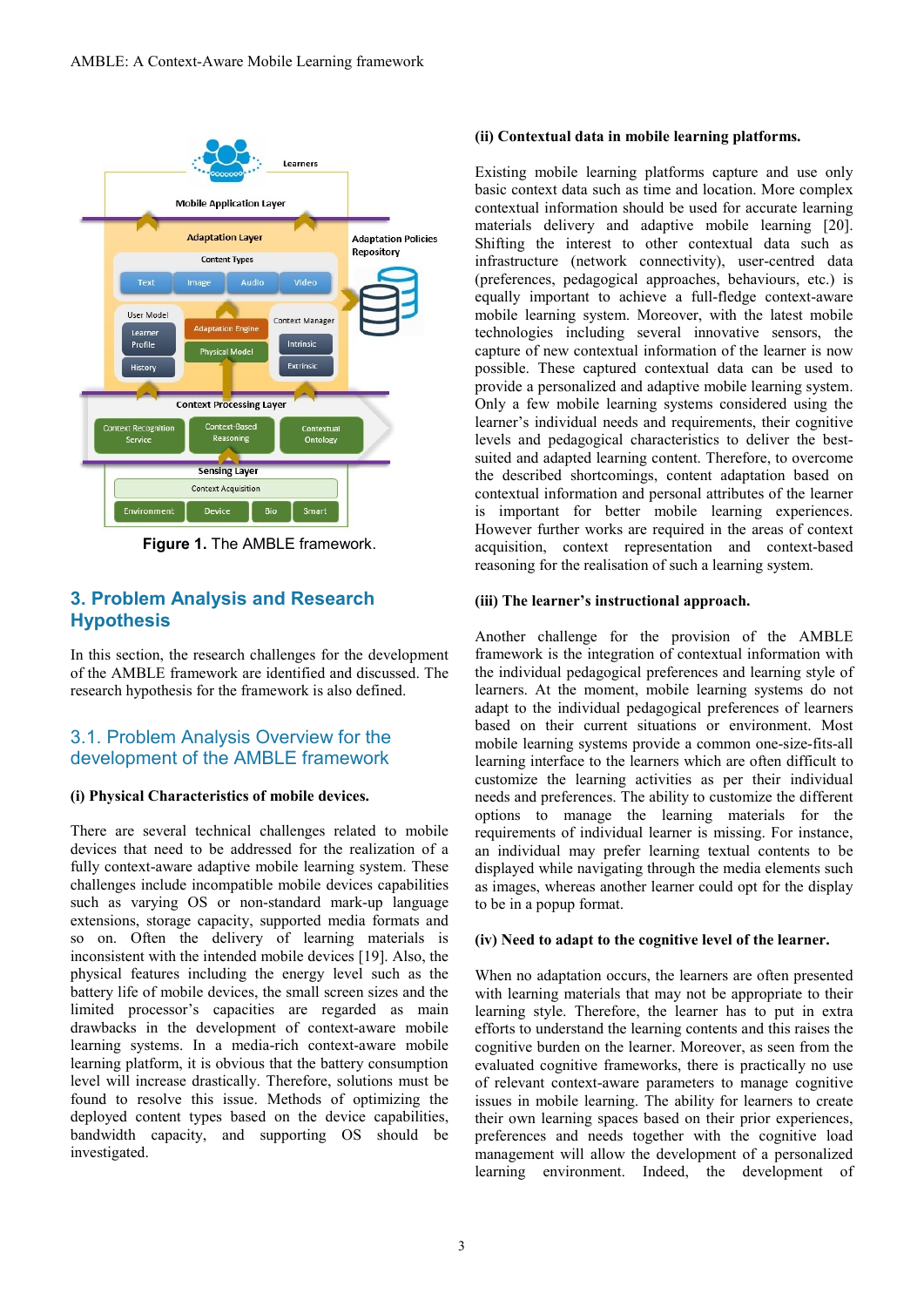

**Figure 1.** The AMBLE framework.

# **3. Problem Analysis and Research Hypothesis**

In this section, the research challenges for the development of the AMBLE framework are identified and discussed. The research hypothesis for the framework is also defined.

# 3.1. Problem Analysis Overview for the development of the AMBLE framework

## **(i) Physical Characteristics of mobile devices.**

There are several technical challenges related to mobile devices that need to be addressed for the realization of a fully context-aware adaptive mobile learning system. These challenges include incompatible mobile devices capabilities such as varying OS or non-standard mark-up language extensions, storage capacity, supported media formats and so on. Often the delivery of learning materials is inconsistent with the intended mobile devices [19]. Also, the physical features including the energy level such as the battery life of mobile devices, the small screen sizes and the limited processor's capacities are regarded as main drawbacks in the development of context-aware mobile learning systems. In a media-rich context-aware mobile learning platform, it is obvious that the battery consumption level will increase drastically. Therefore, solutions must be found to resolve this issue. Methods of optimizing the deployed content types based on the device capabilities, bandwidth capacity, and supporting OS should be investigated.

### **(ii) Contextual data in mobile learning platforms.**

Existing mobile learning platforms capture and use only basic context data such as time and location. More complex contextual information should be used for accurate learning materials delivery and adaptive mobile learning [20]. Shifting the interest to other contextual data such as infrastructure (network connectivity), user-centred data (preferences, pedagogical approaches, behaviours, etc.) is equally important to achieve a full-fledge context-aware mobile learning system. Moreover, with the latest mobile technologies including several innovative sensors, the capture of new contextual information of the learner is now possible. These captured contextual data can be used to provide a personalized and adaptive mobile learning system. Only a few mobile learning systems considered using the learner's individual needs and requirements, their cognitive levels and pedagogical characteristics to deliver the bestsuited and adapted learning content. Therefore, to overcome the described shortcomings, content adaptation based on contextual information and personal attributes of the learner is important for better mobile learning experiences. However further works are required in the areas of context acquisition, context representation and context-based reasoning for the realisation of such a learning system.

#### **(iii) The learner's instructional approach.**

Another challenge for the provision of the AMBLE framework is the integration of contextual information with the individual pedagogical preferences and learning style of learners. At the moment, mobile learning systems do not adapt to the individual pedagogical preferences of learners based on their current situations or environment. Most mobile learning systems provide a common one-size-fits-all learning interface to the learners which are often difficult to customize the learning activities as per their individual needs and preferences. The ability to customize the different options to manage the learning materials for the requirements of individual learner is missing. For instance, an individual may prefer learning textual contents to be displayed while navigating through the media elements such as images, whereas another learner could opt for the display to be in a popup format.

#### **(iv) Need to adapt to the cognitive level of the learner.**

When no adaptation occurs, the learners are often presented with learning materials that may not be appropriate to their learning style. Therefore, the learner has to put in extra efforts to understand the learning contents and this raises the cognitive burden on the learner. Moreover, as seen from the evaluated cognitive frameworks, there is practically no use of relevant context-aware parameters to manage cognitive issues in mobile learning. The ability for learners to create their own learning spaces based on their prior experiences, preferences and needs together with the cognitive load management will allow the development of a personalized learning environment. Indeed, the development of

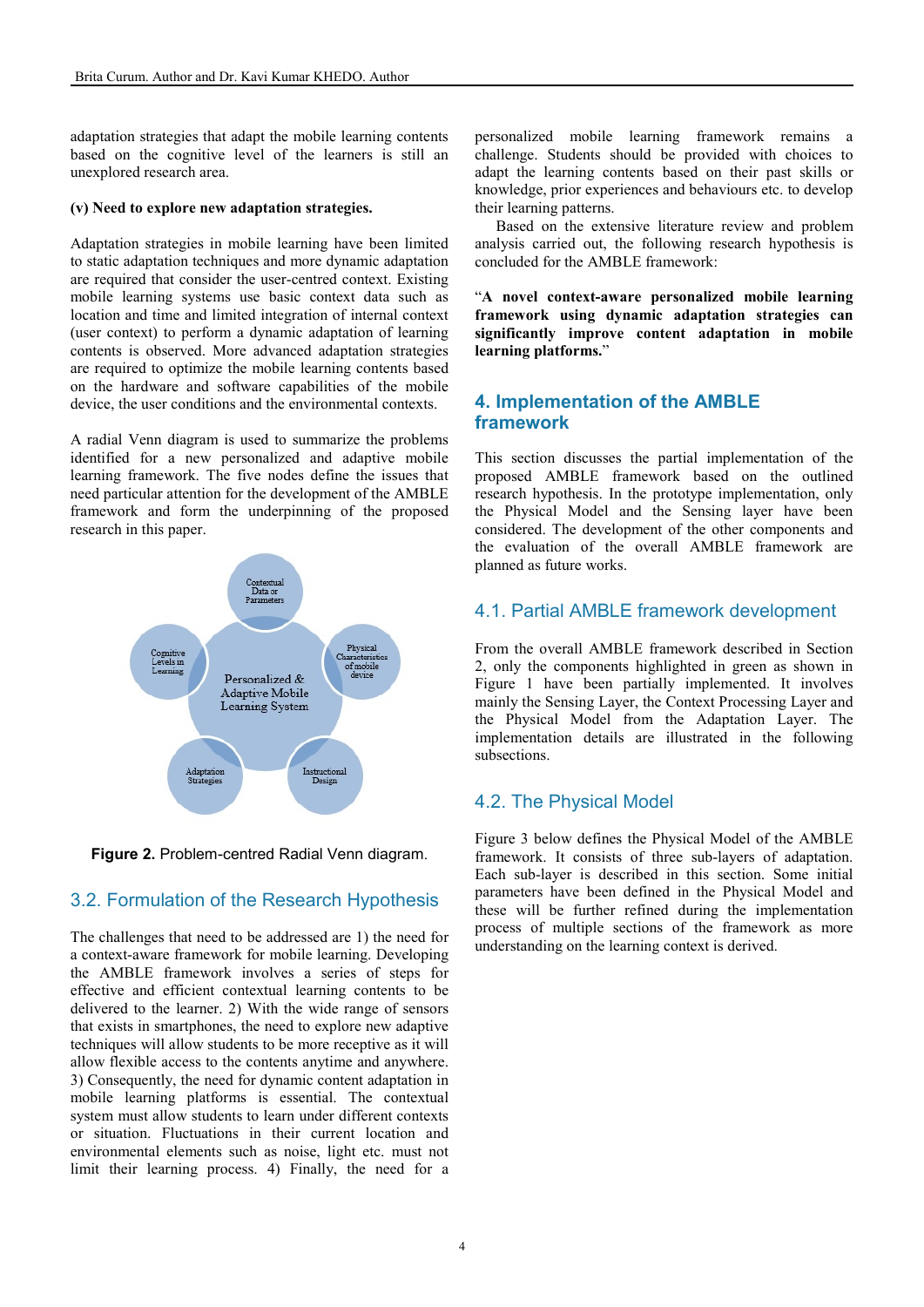adaptation strategies that adapt the mobile learning contents based on the cognitive level of the learners is still an unexplored research area.

#### **(v) Need to explore new adaptation strategies.**

Adaptation strategies in mobile learning have been limited to static adaptation techniques and more dynamic adaptation are required that consider the user-centred context. Existing mobile learning systems use basic context data such as location and time and limited integration of internal context (user context) to perform a dynamic adaptation of learning contents is observed. More advanced adaptation strategies are required to optimize the mobile learning contents based on the hardware and software capabilities of the mobile device, the user conditions and the environmental contexts.

A radial Venn diagram is used to summarize the problems identified for a new personalized and adaptive mobile learning framework. The five nodes define the issues that need particular attention for the development of the AMBLE framework and form the underpinning of the proposed research in this paper.



**Figure 2.** Problem-centred Radial Venn diagram.

## 3.2. Formulation of the Research Hypothesis

The challenges that need to be addressed are 1) the need for a context-aware framework for mobile learning. Developing the AMBLE framework involves a series of steps for effective and efficient contextual learning contents to be delivered to the learner. 2) With the wide range of sensors that exists in smartphones, the need to explore new adaptive techniques will allow students to be more receptive as it will allow flexible access to the contents anytime and anywhere. 3) Consequently, the need for dynamic content adaptation in mobile learning platforms is essential. The contextual system must allow students to learn under different contexts or situation. Fluctuations in their current location and environmental elements such as noise, light etc. must not limit their learning process. 4) Finally, the need for a personalized mobile learning framework remains a challenge. Students should be provided with choices to adapt the learning contents based on their past skills or knowledge, prior experiences and behaviours etc. to develop their learning patterns.

Based on the extensive literature review and problem analysis carried out, the following research hypothesis is concluded for the AMBLE framework:

"**A novel context-aware personalized mobile learning framework using dynamic adaptation strategies can significantly improve content adaptation in mobile learning platforms.**"

## **4. Implementation of the AMBLE framework**

This section discusses the partial implementation of the proposed AMBLE framework based on the outlined research hypothesis. In the prototype implementation, only the Physical Model and the Sensing layer have been considered. The development of the other components and the evaluation of the overall AMBLE framework are planned as future works.

## 4.1. Partial AMBLE framework development

From the overall AMBLE framework described in Section 2, only the components highlighted in green as shown in Figure 1 have been partially implemented. It involves mainly the Sensing Layer, the Context Processing Layer and the Physical Model from the Adaptation Layer. The implementation details are illustrated in the following subsections.

## 4.2. The Physical Model

Figure 3 below defines the Physical Model of the AMBLE framework. It consists of three sub-layers of adaptation. Each sub-layer is described in this section. Some initial parameters have been defined in the Physical Model and these will be further refined during the implementation process of multiple sections of the framework as more understanding on the learning context is derived.

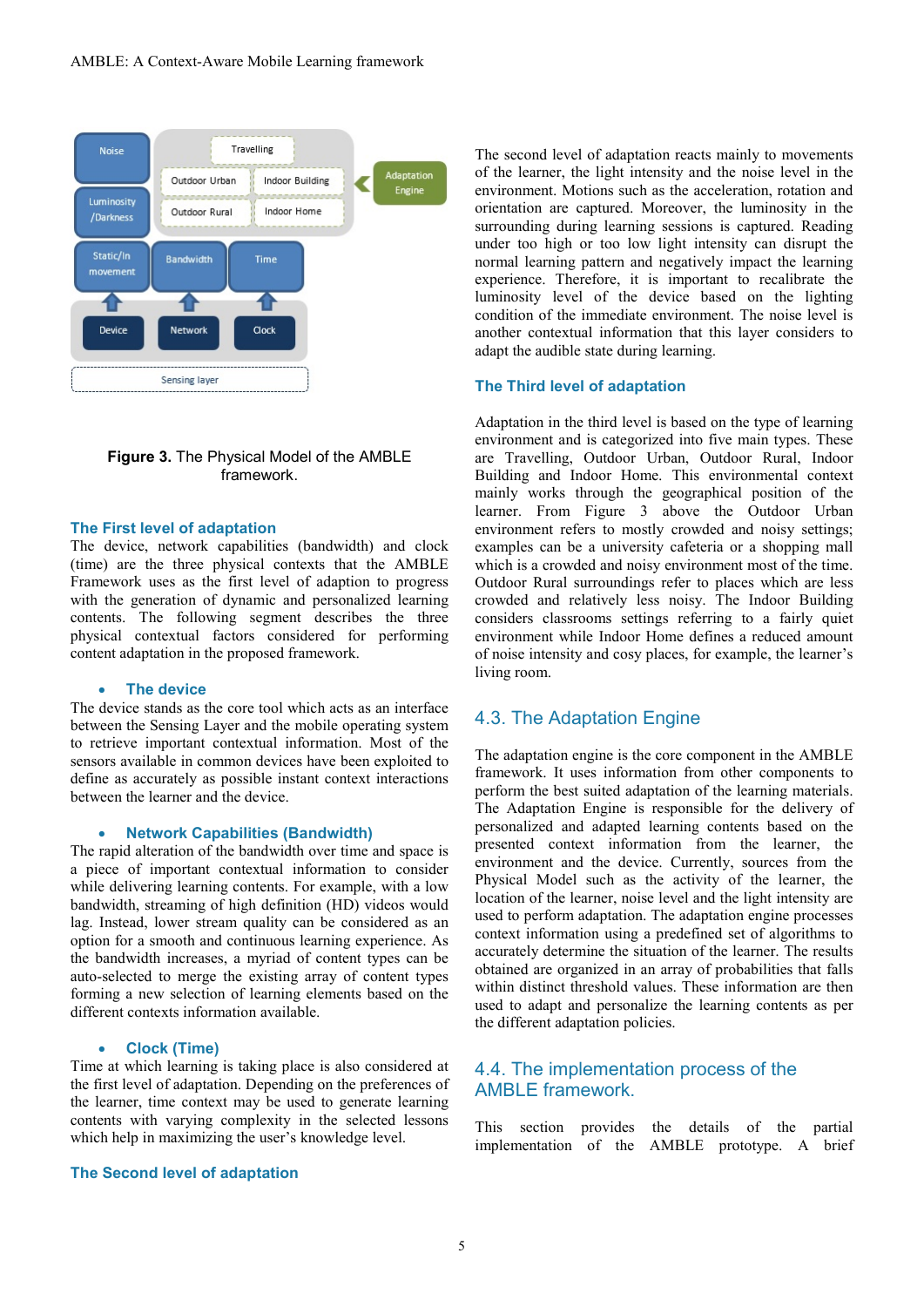

### **Figure 3.** The Physical Model of the AMBLE framework.

#### **The First level of adaptation**

The device, network capabilities (bandwidth) and clock (time) are the three physical contexts that the AMBLE Framework uses as the first level of adaption to progress with the generation of dynamic and personalized learning contents. The following segment describes the three physical contextual factors considered for performing content adaptation in the proposed framework.

#### • **The device**

The device stands as the core tool which acts as an interface between the Sensing Layer and the mobile operating system to retrieve important contextual information. Most of the sensors available in common devices have been exploited to define as accurately as possible instant context interactions between the learner and the device.

#### • **Network Capabilities (Bandwidth)**

The rapid alteration of the bandwidth over time and space is a piece of important contextual information to consider while delivering learning contents. For example, with a low bandwidth, streaming of high definition (HD) videos would lag. Instead, lower stream quality can be considered as an option for a smooth and continuous learning experience. As the bandwidth increases, a myriad of content types can be auto-selected to merge the existing array of content types forming a new selection of learning elements based on the different contexts information available.

#### • **Clock (Time)**

Time at which learning is taking place is also considered at the first level of adaptation. Depending on the preferences of the learner, time context may be used to generate learning contents with varying complexity in the selected lessons which help in maximizing the user's knowledge level.

#### **The Second level of adaptation**

The second level of adaptation reacts mainly to movements of the learner, the light intensity and the noise level in the environment. Motions such as the acceleration, rotation and orientation are captured. Moreover, the luminosity in the surrounding during learning sessions is captured. Reading under too high or too low light intensity can disrupt the normal learning pattern and negatively impact the learning experience. Therefore, it is important to recalibrate the luminosity level of the device based on the lighting condition of the immediate environment. The noise level is another contextual information that this layer considers to adapt the audible state during learning.

#### **The Third level of adaptation**

Adaptation in the third level is based on the type of learning environment and is categorized into five main types. These are Travelling, Outdoor Urban, Outdoor Rural, Indoor Building and Indoor Home. This environmental context mainly works through the geographical position of the learner. From Figure 3 above the Outdoor Urban environment refers to mostly crowded and noisy settings; examples can be a university cafeteria or a shopping mall which is a crowded and noisy environment most of the time. Outdoor Rural surroundings refer to places which are less crowded and relatively less noisy. The Indoor Building considers classrooms settings referring to a fairly quiet environment while Indoor Home defines a reduced amount of noise intensity and cosy places, for example, the learner's living room.

#### 4.3. The Adaptation Engine

The adaptation engine is the core component in the AMBLE framework. It uses information from other components to perform the best suited adaptation of the learning materials. The Adaptation Engine is responsible for the delivery of personalized and adapted learning contents based on the presented context information from the learner, the environment and the device. Currently, sources from the Physical Model such as the activity of the learner, the location of the learner, noise level and the light intensity are used to perform adaptation. The adaptation engine processes context information using a predefined set of algorithms to accurately determine the situation of the learner. The results obtained are organized in an array of probabilities that falls within distinct threshold values. These information are then used to adapt and personalize the learning contents as per the different adaptation policies.

## 4.4. The implementation process of the AMBLE framework.

This section provides the details of the partial implementation of the AMBLE prototype. A brief

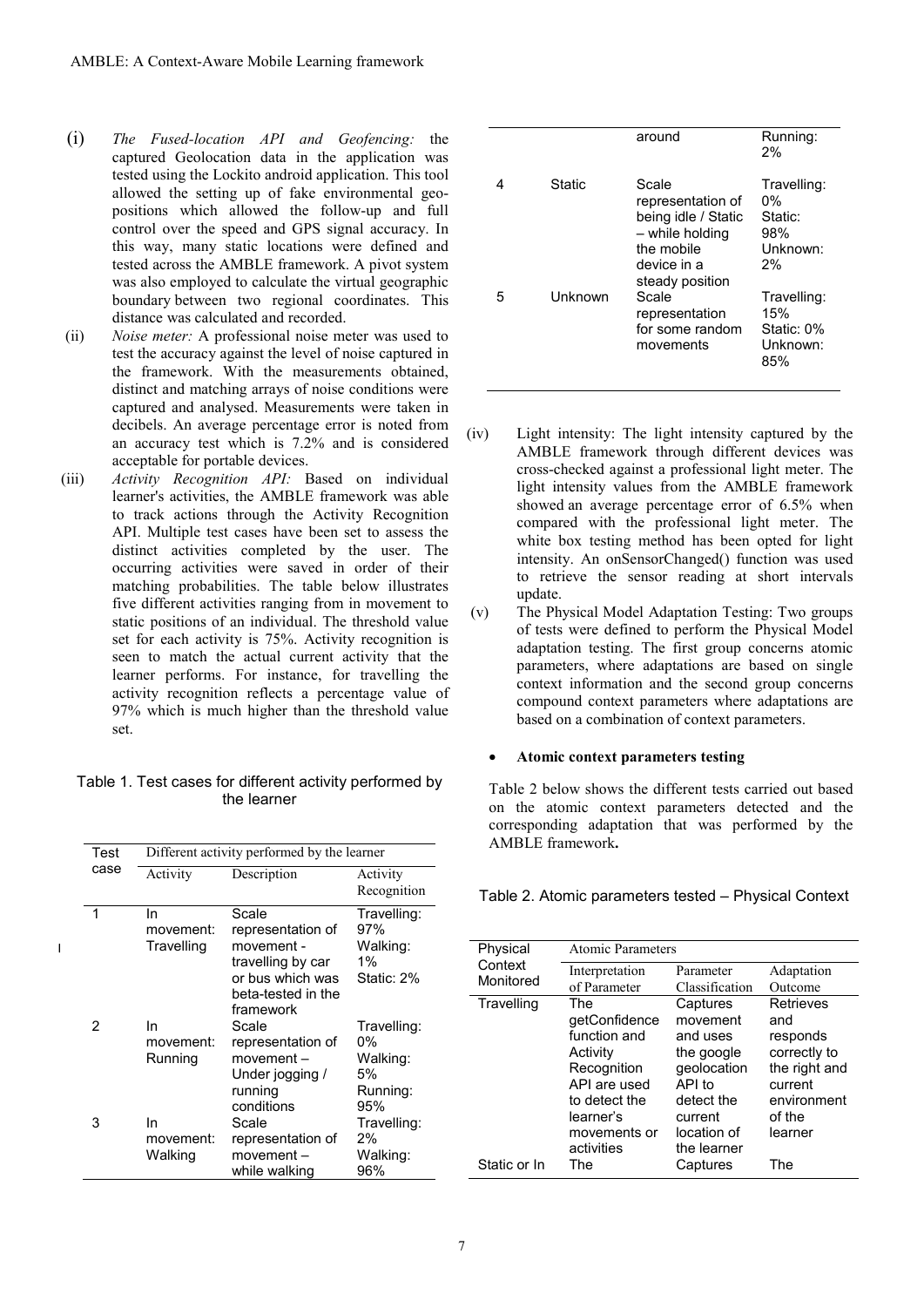- (i) *The Fused-location API and Geofencing:* the captured Geolocation data in the application was tested using the Lockito android application. This tool allowed the setting up of fake environmental geopositions which allowed the follow-up and full control over the speed and GPS signal accuracy. In this way, many static locations were defined and tested across the AMBLE framework. A pivot system was also employed to calculate the virtual geographic boundary between two regional coordinates. This distance was calculated and recorded.
- (ii) *Noise meter:* A professional noise meter was used to test the accuracy against the level of noise captured in the framework. With the measurements obtained, distinct and matching arrays of noise conditions were captured and analysed. Measurements were taken in decibels. An average percentage error is noted from an accuracy test which is 7.2% and is considered acceptable for portable devices.
- (iii) *Activity Recognition API:* Based on individual learner's activities, the AMBLE framework was able to track actions through the Activity Recognition API. Multiple test cases have been set to assess the distinct activities completed by the user. The occurring activities were saved in order of their matching probabilities. The table below illustrates five different activities ranging from in movement to static positions of an individual. The threshold value set for each activity is 75%. Activity recognition is seen to match the actual current activity that the learner performs. For instance, for travelling the activity recognition reflects a percentage value of 97% which is much higher than the threshold value set.

Table 1. Test cases for different activity performed by the learner

| Test | Different activity performed by the learner |                                                                                                                      |                                                        |  |  |
|------|---------------------------------------------|----------------------------------------------------------------------------------------------------------------------|--------------------------------------------------------|--|--|
| case | Activity                                    | Description                                                                                                          | Activity<br>Recognition                                |  |  |
| 1    | In.<br>movement:<br>Travelling              | Scale<br>representation of<br>movement -<br>travelling by car<br>or bus which was<br>beta-tested in the<br>framework | Travelling:<br>97%<br>Walking:<br>$1\%$<br>Static: 2%  |  |  |
| 2    | In<br>movement:<br>Running                  | Scale<br>representation of<br>movement -<br>Under jogging /<br>running<br>conditions                                 | Travelling:<br>0%<br>Walking:<br>5%<br>Running:<br>95% |  |  |
| 3    | In<br>movement:<br>Walking                  | Scale<br>representation of<br>movement –<br>while walking                                                            | Travelling:<br>2%<br>Walking:<br>96%                   |  |  |



 $\blacksquare$ 

|   |               | around                                                                                                               | Running:<br>2%                                           |
|---|---------------|----------------------------------------------------------------------------------------------------------------------|----------------------------------------------------------|
|   | <b>Static</b> | Scale<br>representation of<br>being idle / Static<br>- while holding<br>the mobile<br>device in a<br>steady position | Travelling:<br>$0\%$<br>Static:<br>98%<br>Unknown:<br>2% |
| 5 | Unknown       | Scale<br>representation<br>for some random<br>movements                                                              | Travelling:<br>15%<br>Static: 0%<br>Unknown:<br>85%      |

- (iv) Light intensity: The light intensity captured by the AMBLE framework through different devices was cross-checked against a professional light meter. The light intensity values from the AMBLE framework showed an average percentage error of 6.5% when compared with the professional light meter. The white box testing method has been opted for light intensity. An onSensorChanged() function was used to retrieve the sensor reading at short intervals update.
- (v) The Physical Model Adaptation Testing: Two groups of tests were defined to perform the Physical Model adaptation testing. The first group concerns atomic parameters, where adaptations are based on single context information and the second group concerns compound context parameters where adaptations are based on a combination of context parameters.

#### • **Atomic context parameters testing**

Table 2 below shows the different tests carried out based on the atomic context parameters detected and the corresponding adaptation that was performed by the AMBLE framework**.** 

Table 2. Atomic parameters tested – Physical Context

| Physical     | <b>Atomic Parameters</b> |                |                                                  |  |  |
|--------------|--------------------------|----------------|--------------------------------------------------|--|--|
| Context      | Interpretation           | Parameter      | Adaptation                                       |  |  |
| Monitored    | of Parameter             | Classification | Outcome                                          |  |  |
| Travelling   | The                      | Captures       | <b>Retrieves</b>                                 |  |  |
|              | getConfidence            | movement       | and<br>responds<br>correctly to<br>the right and |  |  |
|              | function and             | and uses       |                                                  |  |  |
|              | Activity                 | the google     |                                                  |  |  |
|              | Recognition              | geolocation    |                                                  |  |  |
|              | API are used             | API to         | current                                          |  |  |
|              | to detect the            | detect the     | environment                                      |  |  |
|              | learner's                | current        | of the                                           |  |  |
|              | movements or             | location of    | learner                                          |  |  |
|              | activities               | the learner    |                                                  |  |  |
| Static or In | The                      | Captures       | The                                              |  |  |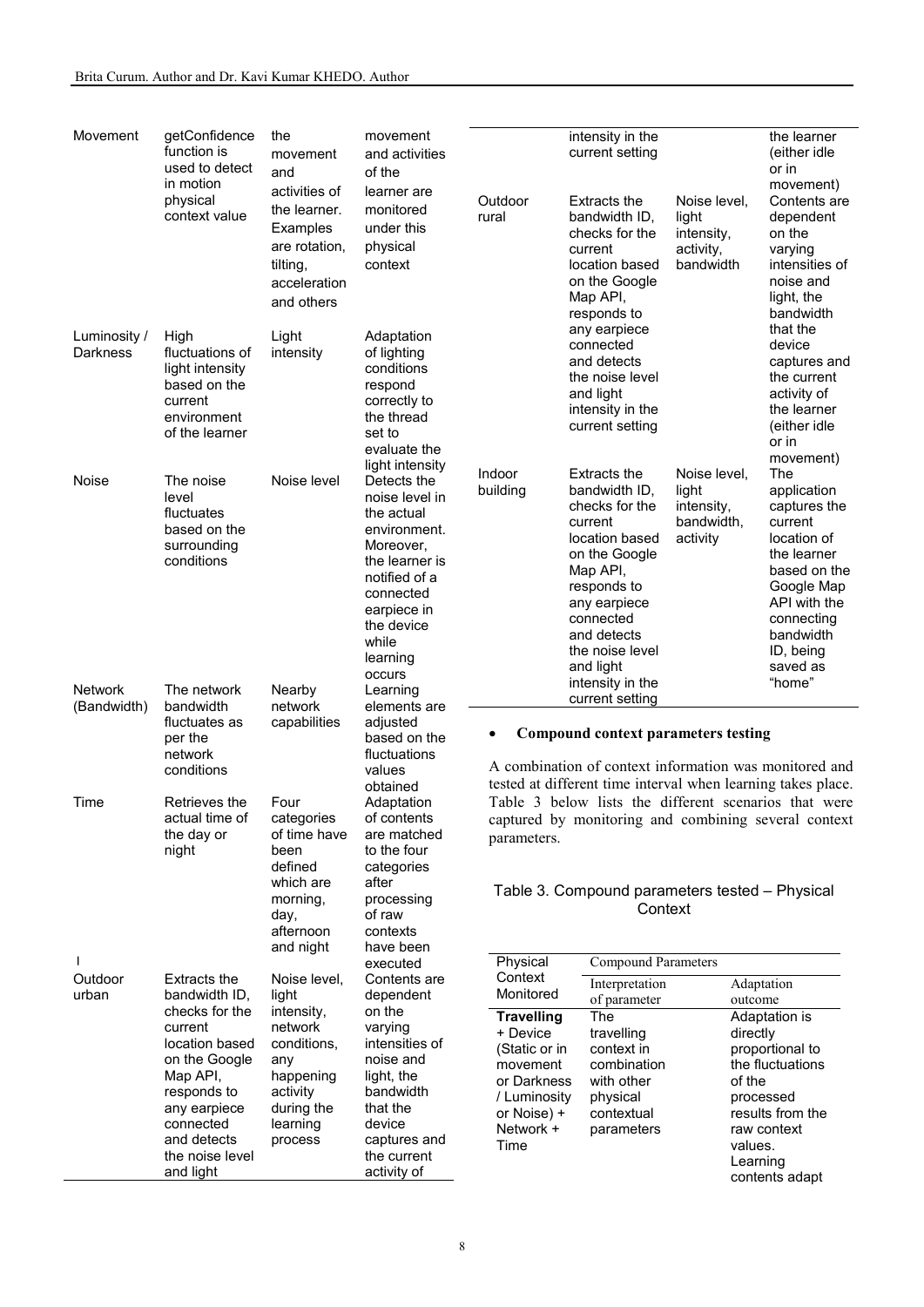| Movement                      | getConfidence<br>function is<br>used to detect<br>in motion<br>physical<br>context value                                                                            | the<br>movement<br>and<br>activities of<br>the learner.<br>Examples<br>are rotation,<br>tilting,<br>acceleration<br>and others | movement<br>and activities<br>of the<br>learner are<br>monitored<br>under this<br>physical<br>context                                                                                | Outdoor<br>rural                                                                                                              | intensity in the<br>current setting<br><b>Extracts the</b><br>bandwidth ID.<br>checks for the<br>current<br>location based<br>on the Google<br>Map API,<br>responds to                                      | Noise level,<br>light<br>intensity,<br>activity,<br>bandwidth | the learner<br>(either idle<br>or in<br>movement)<br>Contents are<br>dependent<br>on the<br>varying<br>intensities of<br>noise and<br>light, the<br>bandwidth                 |
|-------------------------------|---------------------------------------------------------------------------------------------------------------------------------------------------------------------|--------------------------------------------------------------------------------------------------------------------------------|--------------------------------------------------------------------------------------------------------------------------------------------------------------------------------------|-------------------------------------------------------------------------------------------------------------------------------|-------------------------------------------------------------------------------------------------------------------------------------------------------------------------------------------------------------|---------------------------------------------------------------|-------------------------------------------------------------------------------------------------------------------------------------------------------------------------------|
| Luminosity /<br>Darkness      | High<br>fluctuations of<br>light intensity<br>based on the<br>current<br>environment<br>of the learner                                                              | Light<br>intensity                                                                                                             | Adaptation<br>of lighting<br>conditions<br>respond<br>correctly to<br>the thread<br>set to<br>evaluate the<br>light intensity                                                        |                                                                                                                               | any earpiece<br>connected<br>and detects<br>the noise level<br>and light<br>intensity in the<br>current setting                                                                                             |                                                               | that the<br>device<br>captures and<br>the current<br>activity of<br>the learner<br>(either idle<br>or in<br>movement)                                                         |
| Noise                         | The noise<br>level<br>fluctuates<br>based on the<br>surrounding<br>conditions                                                                                       | Noise level                                                                                                                    | Detects the<br>noise level in<br>the actual<br>environment.<br>Moreover,<br>the learner is<br>notified of a<br>connected<br>earpiece in<br>the device<br>while<br>learning<br>occurs | Indoor<br>building                                                                                                            | <b>Extracts the</b><br>bandwidth ID,<br>checks for the<br>current<br>location based<br>on the Google<br>Map API,<br>responds to<br>any earpiece<br>connected<br>and detects<br>the noise level<br>and light | Noise level,<br>light<br>intensity,<br>bandwidth,<br>activity | The<br>application<br>captures the<br>current<br>location of<br>the learner<br>based on the<br>Google Map<br>API with the<br>connecting<br>bandwidth<br>ID, being<br>saved as |
| <b>Network</b><br>(Bandwidth) | The network<br>bandwidth<br>fluctuates as<br>per the<br>network<br>conditions                                                                                       | Nearby<br>network<br>capabilities                                                                                              | Learning<br>elements are<br>adjusted<br>based on the<br>fluctuations<br>values<br>obtained                                                                                           |                                                                                                                               | intensity in the<br>current setting<br><b>Compound context parameters testing</b><br>A combination of context information was monitored and<br>tested at different time interval when learning takes place. |                                                               | "home"                                                                                                                                                                        |
| Time                          | Retrieves the<br>actual time of<br>the day or<br>night                                                                                                              | Four<br>categories<br>of time have<br>been<br>defined<br>which are<br>morning,<br>day,<br>afternoon                            | Adaptation<br>of contents<br>are matched<br>to the four<br>categories<br>after<br>processing<br>of raw<br>contexts                                                                   | parameters.                                                                                                                   | Table 3 below lists the different scenarios that were<br>captured by monitoring and combining several context<br>Table 3. Compound parameters tested - Physical<br>Context                                  |                                                               |                                                                                                                                                                               |
|                               |                                                                                                                                                                     | and night                                                                                                                      | have been<br>executed                                                                                                                                                                | Physical<br><b>Compound Parameters</b>                                                                                        |                                                                                                                                                                                                             |                                                               |                                                                                                                                                                               |
| Outdoor<br>urban              | Extracts the<br>bandwidth ID,                                                                                                                                       | Noise level,<br>light                                                                                                          | Contents are<br>dependent                                                                                                                                                            | Context<br>Monitored                                                                                                          | Interpretation                                                                                                                                                                                              |                                                               | Adaptation                                                                                                                                                                    |
|                               | checks for the<br>current<br>location based<br>on the Google<br>Map API,<br>responds to<br>any earpiece<br>connected<br>and detects<br>the noise level<br>and light | intensity,<br>network<br>conditions,<br>any<br>happening<br>activity<br>during the<br>learning<br>process                      | on the<br>varying<br>intensities of<br>noise and<br>light, the<br>bandwidth<br>that the<br>device<br>captures and<br>the current<br>activity of                                      | <b>Travelling</b><br>+ Device<br>(Static or in<br>movement<br>or Darkness<br>/ Luminosity<br>or Noise) +<br>Network +<br>Time | of parameter<br>The<br>travelling<br>context in<br>combination<br>with other<br>physical<br>contextual<br>parameters                                                                                        | outcome<br>directly<br>of the<br>values.                      | Adaptation is<br>proportional to<br>the fluctuations<br>processed<br>results from the<br>raw context<br>Learning<br>contents adapt                                            |

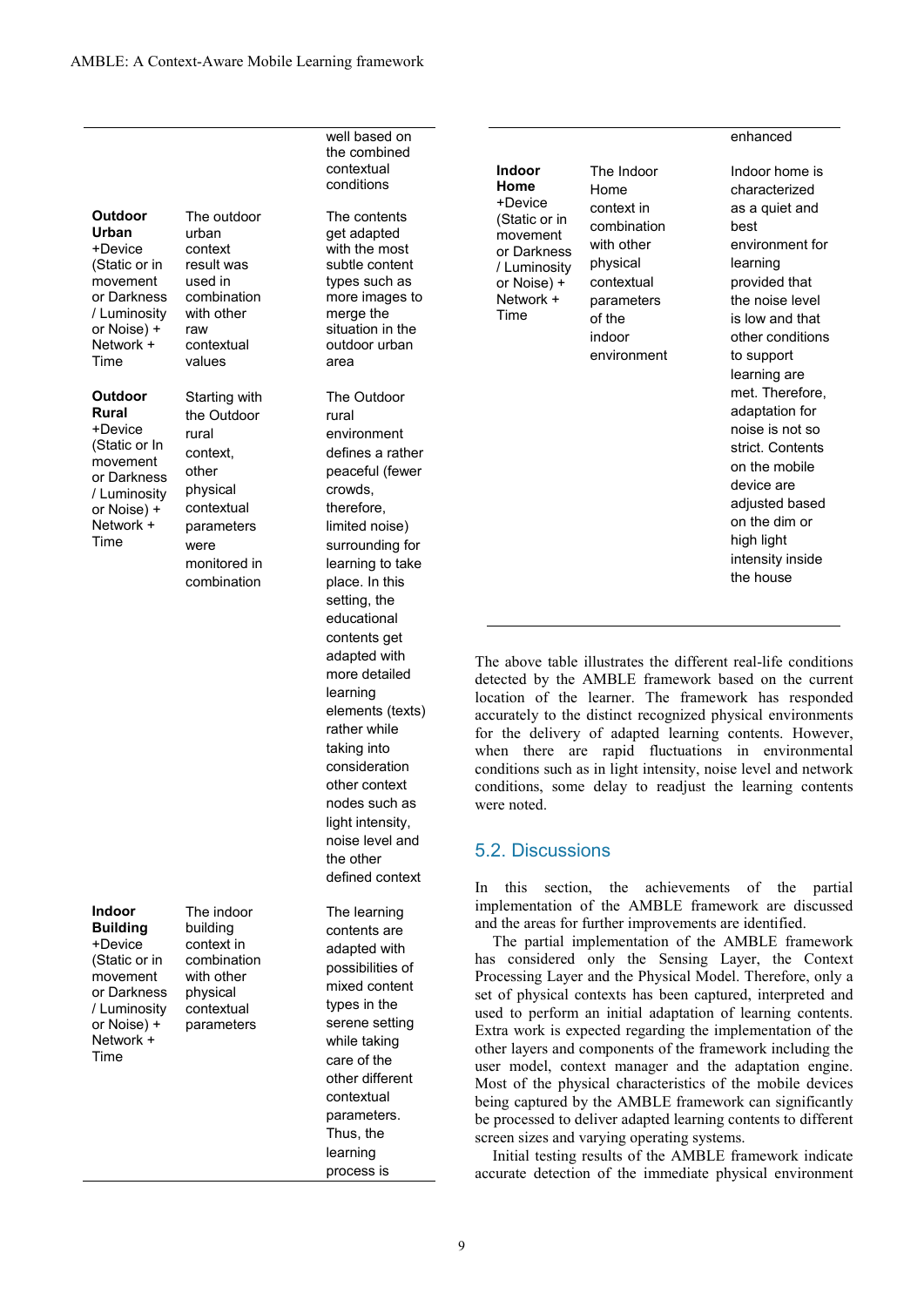| +Device       |
|---------------|
| (Static or in |
| movement      |
| or Darkness   |
| / Luminosity  |
| or Noise) +   |
| Network +     |
| Time          |

**Outdoor Urban**

**Outdoor Rural** 

+Device (Static or In movement or Darkness / Luminosity or Noise) + Network + Time

contextual values Starting with the Outdoor rural context, other physical contextual parameters were monitored in

combination

The outdoor urban context result was used in combination with other raw

**Indoor** 

**Building**  +Device (Static or in movement or Darkness / Luminosity or Noise) + Network + Time

The indoor building context in combination with other physical contextual parameters

well based on the combined contextual conditions

The contents get adapted with the most subtle content types such as more images to merge the situation in the outdoor urban area

The Outdoor rural environment defines a rather peaceful (fewer crowds, therefore, limited noise) surrounding for learning to take place. In this setting, the educational contents get adapted with more detailed learning elements (texts) rather while taking into consideration other context nodes such as light intensity, noise level and the other defined context

The learning contents are adapted with possibilities of mixed content types in the serene setting while taking care of the other different contextual parameters. Thus, the learning process is

| Indoor        |
|---------------|
| Home          |
| +Device       |
| (Static or in |
| movement      |
| or Darkness   |
| / Luminosity  |
| or Noise) +   |
| Network +     |
| Time          |

The Indoor Home context in combination with other physical contextual parameters of the indoor

environment

#### enhanced

Indoor home is characterized as a quiet and best environment for learning provided that the noise level is low and that other conditions to support learning are met. Therefore, adaptation for noise is not so strict. Contents on the mobile device are adjusted based on the dim or high light intensity inside the house

The above table illustrates the different real-life conditions detected by the AMBLE framework based on the current location of the learner. The framework has responded accurately to the distinct recognized physical environments for the delivery of adapted learning contents. However, when there are rapid fluctuations in environmental conditions such as in light intensity, noise level and network conditions, some delay to readjust the learning contents were noted.

## 5.2. Discussions

In this section, the achievements of the partial implementation of the AMBLE framework are discussed and the areas for further improvements are identified.

The partial implementation of the AMBLE framework has considered only the Sensing Layer, the Context Processing Layer and the Physical Model. Therefore, only a set of physical contexts has been captured, interpreted and used to perform an initial adaptation of learning contents. Extra work is expected regarding the implementation of the other layers and components of the framework including the user model, context manager and the adaptation engine. Most of the physical characteristics of the mobile devices being captured by the AMBLE framework can significantly be processed to deliver adapted learning contents to different screen sizes and varying operating systems.

Initial testing results of the AMBLE framework indicate accurate detection of the immediate physical environment

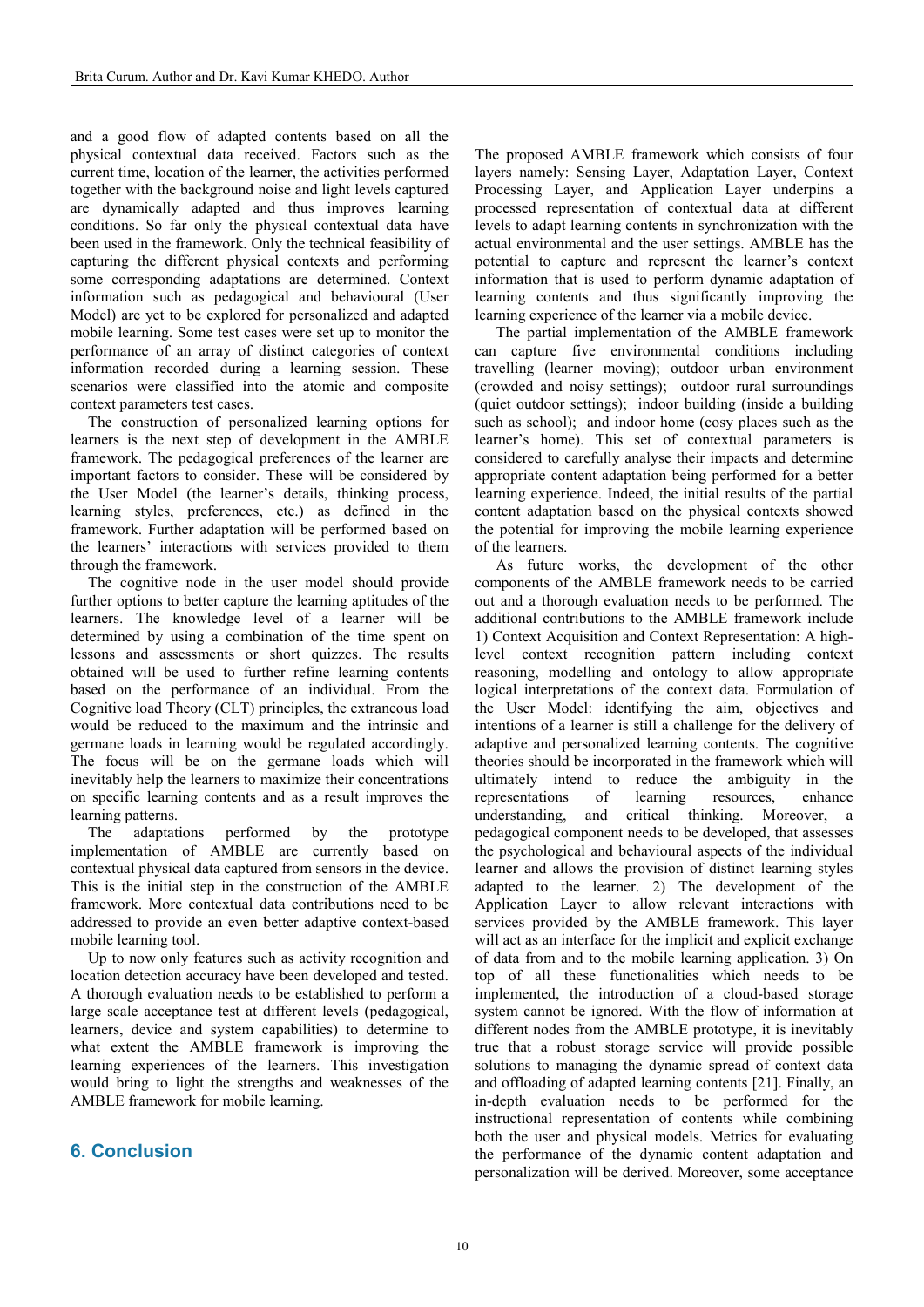and a good flow of adapted contents based on all the physical contextual data received. Factors such as the current time, location of the learner, the activities performed together with the background noise and light levels captured are dynamically adapted and thus improves learning conditions. So far only the physical contextual data have been used in the framework. Only the technical feasibility of capturing the different physical contexts and performing some corresponding adaptations are determined. Context information such as pedagogical and behavioural (User Model) are yet to be explored for personalized and adapted mobile learning. Some test cases were set up to monitor the performance of an array of distinct categories of context information recorded during a learning session. These scenarios were classified into the atomic and composite context parameters test cases.

The construction of personalized learning options for learners is the next step of development in the AMBLE framework. The pedagogical preferences of the learner are important factors to consider. These will be considered by the User Model (the learner's details, thinking process, learning styles, preferences, etc.) as defined in the framework. Further adaptation will be performed based on the learners' interactions with services provided to them through the framework.

The cognitive node in the user model should provide further options to better capture the learning aptitudes of the learners. The knowledge level of a learner will be determined by using a combination of the time spent on lessons and assessments or short quizzes. The results obtained will be used to further refine learning contents based on the performance of an individual. From the Cognitive load Theory (CLT) principles, the extraneous load would be reduced to the maximum and the intrinsic and germane loads in learning would be regulated accordingly. The focus will be on the germane loads which will inevitably help the learners to maximize their concentrations on specific learning contents and as a result improves the learning patterns.

The adaptations performed by the prototype implementation of AMBLE are currently based on contextual physical data captured from sensors in the device. This is the initial step in the construction of the AMBLE framework. More contextual data contributions need to be addressed to provide an even better adaptive context-based mobile learning tool.

Up to now only features such as activity recognition and location detection accuracy have been developed and tested. A thorough evaluation needs to be established to perform a large scale acceptance test at different levels (pedagogical, learners, device and system capabilities) to determine to what extent the AMBLE framework is improving the learning experiences of the learners. This investigation would bring to light the strengths and weaknesses of the AMBLE framework for mobile learning.

# **6. Conclusion**

The proposed AMBLE framework which consists of four layers namely: Sensing Layer, Adaptation Layer, Context Processing Layer, and Application Layer underpins a processed representation of contextual data at different levels to adapt learning contents in synchronization with the actual environmental and the user settings. AMBLE has the potential to capture and represent the learner's context information that is used to perform dynamic adaptation of learning contents and thus significantly improving the learning experience of the learner via a mobile device.

The partial implementation of the AMBLE framework can capture five environmental conditions including travelling (learner moving); outdoor urban environment (crowded and noisy settings); outdoor rural surroundings (quiet outdoor settings); indoor building (inside a building such as school); and indoor home (cosy places such as the learner's home). This set of contextual parameters is considered to carefully analyse their impacts and determine appropriate content adaptation being performed for a better learning experience. Indeed, the initial results of the partial content adaptation based on the physical contexts showed the potential for improving the mobile learning experience of the learners.

As future works, the development of the other components of the AMBLE framework needs to be carried out and a thorough evaluation needs to be performed. The additional contributions to the AMBLE framework include 1) Context Acquisition and Context Representation: A highlevel context recognition pattern including context reasoning, modelling and ontology to allow appropriate logical interpretations of the context data. Formulation of the User Model: identifying the aim, objectives and intentions of a learner is still a challenge for the delivery of adaptive and personalized learning contents. The cognitive theories should be incorporated in the framework which will ultimately intend to reduce the ambiguity in the representations of learning resources, enhance understanding, and critical thinking. Moreover, a pedagogical component needs to be developed, that assesses the psychological and behavioural aspects of the individual learner and allows the provision of distinct learning styles adapted to the learner. 2) The development of the Application Layer to allow relevant interactions with services provided by the AMBLE framework. This layer will act as an interface for the implicit and explicit exchange of data from and to the mobile learning application. 3) On top of all these functionalities which needs to be implemented, the introduction of a cloud-based storage system cannot be ignored. With the flow of information at different nodes from the AMBLE prototype, it is inevitably true that a robust storage service will provide possible solutions to managing the dynamic spread of context data and offloading of adapted learning contents [21]. Finally, an in-depth evaluation needs to be performed for the instructional representation of contents while combining both the user and physical models. Metrics for evaluating the performance of the dynamic content adaptation and personalization will be derived. Moreover, some acceptance